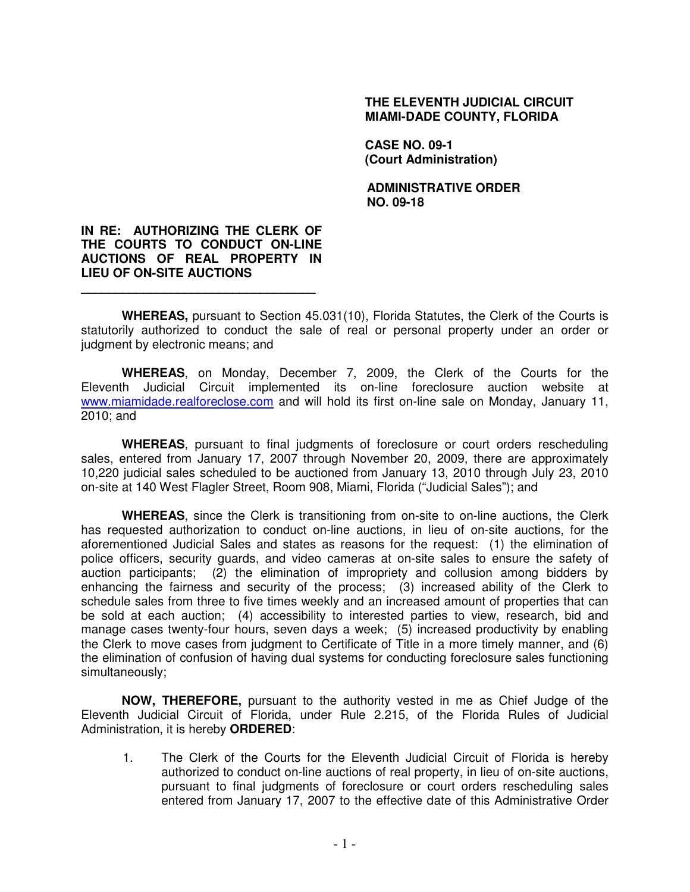## **THE ELEVENTH JUDICIAL CIRCUIT MIAMI-DADE COUNTY, FLORIDA**

**CASE NO. 09-1 (Court Administration)** 

**ADMINISTRATIVE ORDER NO. 09-18** 

## **IN RE: AUTHORIZING THE CLERK OF THE COURTS TO CONDUCT ON-LINE AUCTIONS OF REAL PROPERTY IN LIEU OF ON-SITE AUCTIONS**

**\_\_\_\_\_\_\_\_\_\_\_\_\_\_\_\_\_\_\_\_\_\_\_\_\_\_\_\_\_\_\_\_\_\_** 

**WHEREAS,** pursuant to Section 45.031(10), Florida Statutes, the Clerk of the Courts is statutorily authorized to conduct the sale of real or personal property under an order or judgment by electronic means; and

**WHEREAS**, on Monday, December 7, 2009, the Clerk of the Courts for the Eleventh Judicial Circuit implemented its on-line foreclosure auction website at www.miamidade.realforeclose.com and will hold its first on-line sale on Monday, January 11, 2010; and

**WHEREAS**, pursuant to final judgments of foreclosure or court orders rescheduling sales, entered from January 17, 2007 through November 20, 2009, there are approximately 10,220 judicial sales scheduled to be auctioned from January 13, 2010 through July 23, 2010 on-site at 140 West Flagler Street, Room 908, Miami, Florida ("Judicial Sales"); and

**WHEREAS**, since the Clerk is transitioning from on-site to on-line auctions, the Clerk has requested authorization to conduct on-line auctions, in lieu of on-site auctions, for the aforementioned Judicial Sales and states as reasons for the request: (1) the elimination of police officers, security guards, and video cameras at on-site sales to ensure the safety of auction participants; (2) the elimination of impropriety and collusion among bidders by enhancing the fairness and security of the process; (3) increased ability of the Clerk to schedule sales from three to five times weekly and an increased amount of properties that can be sold at each auction; (4) accessibility to interested parties to view, research, bid and manage cases twenty-four hours, seven days a week; (5) increased productivity by enabling the Clerk to move cases from judgment to Certificate of Title in a more timely manner, and (6) the elimination of confusion of having dual systems for conducting foreclosure sales functioning simultaneously;

**NOW, THEREFORE,** pursuant to the authority vested in me as Chief Judge of the Eleventh Judicial Circuit of Florida, under Rule 2.215, of the Florida Rules of Judicial Administration, it is hereby **ORDERED**:

1. The Clerk of the Courts for the Eleventh Judicial Circuit of Florida is hereby authorized to conduct on-line auctions of real property, in lieu of on-site auctions, pursuant to final judgments of foreclosure or court orders rescheduling sales entered from January 17, 2007 to the effective date of this Administrative Order